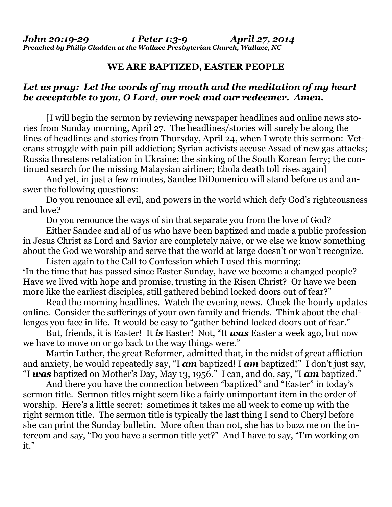## **WE ARE BAPTIZED, EASTER PEOPLE**

## *Let us pray: Let the words of my mouth and the meditation of my heart be acceptable to you, O Lord, our rock and our redeemer. Amen.*

[I will begin the sermon by reviewing newspaper headlines and online news stories from Sunday morning, April 27. The headlines/stories will surely be along the lines of headlines and stories from Thursday, April 24, when I wrote this sermon: Veterans struggle with pain pill addiction; Syrian activists accuse Assad of new gas attacks; Russia threatens retaliation in Ukraine; the sinking of the South Korean ferry; the continued search for the missing Malaysian airliner; Ebola death toll rises again]

 And yet, in just a few minutes, Sandee DiDomenico will stand before us and answer the following questions:

 Do you renounce all evil, and powers in the world which defy God's righteousness and love?

Do you renounce the ways of sin that separate you from the love of God?

 Either Sandee and all of us who have been baptized and made a public profession in Jesus Christ as Lord and Savior are completely naive, or we else we know something about the God we worship and serve that the world at large doesn't or won't recognize.

 Listen again to the Call to Confession which I used this morning: "In the time that has passed since Easter Sunday, have we become a changed people? Have we lived with hope and promise, trusting in the Risen Christ? Or have we been more like the earliest disciples, still gathered behind locked doors out of fear?"

 Read the morning headlines. Watch the evening news. Check the hourly updates online. Consider the sufferings of your own family and friends. Think about the challenges you face in life. It would be easy to "gather behind locked doors out of fear."

 But, friends, it is Easter! It *is* Easter! Not, "It *was* Easter a week ago, but now we have to move on or go back to the way things were."

 Martin Luther, the great Reformer, admitted that, in the midst of great affliction and anxiety, he would repeatedly say, "I *am* baptized! I *am* baptized!" I don't just say, "I *was* baptized on Mother's Day, May 13, 1956." I can, and do, say, "I *am* baptized."

 And there you have the connection between "baptized" and "Easter" in today's sermon title. Sermon titles might seem like a fairly unimportant item in the order of worship. Here's a little secret: sometimes it takes me all week to come up with the right sermon title. The sermon title is typically the last thing I send to Cheryl before she can print the Sunday bulletin. More often than not, she has to buzz me on the intercom and say, "Do you have a sermon title yet?" And I have to say, "I'm working on it."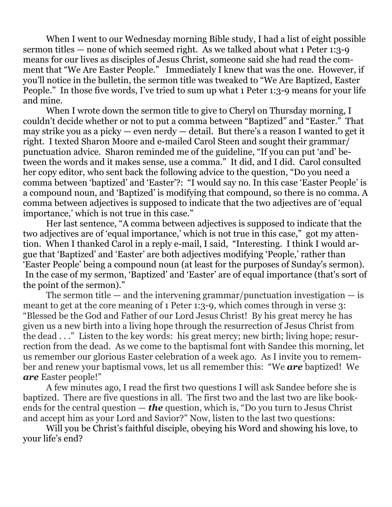When I went to our Wednesday morning Bible study, I had a list of eight possible sermon titles — none of which seemed right. As we talked about what 1 Peter 1:3-9 means for our lives as disciples of Jesus Christ, someone said she had read the comment that "We Are Easter People." Immediately I knew that was the one. However, if you'll notice in the bulletin, the sermon title was tweaked to "We Are Baptized, Easter People." In those five words, I've tried to sum up what 1 Peter 1:3-9 means for your life and mine.

When I wrote down the sermon title to give to Cheryl on Thursday morning, I couldn't decide whether or not to put a comma between "Baptized" and "Easter." That may strike you as a picky — even nerdy — detail. But there's a reason I wanted to get it right. I texted Sharon Moore and e-mailed Carol Steen and sought their grammar/ punctuation advice. Sharon reminded me of the guideline, "If you can put 'and' between the words and it makes sense, use a comma." It did, and I did. Carol consulted her copy editor, who sent back the following advice to the question, "Do you need a comma between 'baptized' and 'Easter'?: "I would say no. In this case 'Easter People' is a compound noun, and 'Baptized' is modifying that compound, so there is no comma. A comma between adjectives is supposed to indicate that the two adjectives are of 'equal importance,' which is not true in this case."

 Her last sentence, "A comma between adjectives is supposed to indicate that the two adjectives are of 'equal importance,' which is not true in this case," got my attention. When I thanked Carol in a reply e-mail, I said, "Interesting. I think I would argue that 'Baptized' and 'Easter' are both adjectives modifying 'People,' rather than 'Easter People' being a compound noun (at least for the purposes of Sunday's sermon). In the case of my sermon, 'Baptized' and 'Easter' are of equal importance (that's sort of the point of the sermon)."

The sermon title — and the intervening grammar/punctuation investigation — is meant to get at the core meaning of 1 Peter 1:3-9, which comes through in verse 3: "Blessed be the God and Father of our Lord Jesus Christ! By his great mercy he has given us a new birth into a living hope through the resurrection of Jesus Christ from the dead . . ." Listen to the key words: his great mercy; new birth; living hope; resurrection from the dead. As we come to the baptismal font with Sandee this morning, let us remember our glorious Easter celebration of a week ago. As I invite you to remember and renew your baptismal vows, let us all remember this: "We *are* baptized! We *are* Easter people!"

 A few minutes ago, I read the first two questions I will ask Sandee before she is baptized. There are five questions in all. The first two and the last two are like bookends for the central question — *the* question, which is, "Do you turn to Jesus Christ and accept him as your Lord and Savior?" Now, listen to the last two questions:

 Will you be Christ's faithful disciple, obeying his Word and showing his love, to your life's end?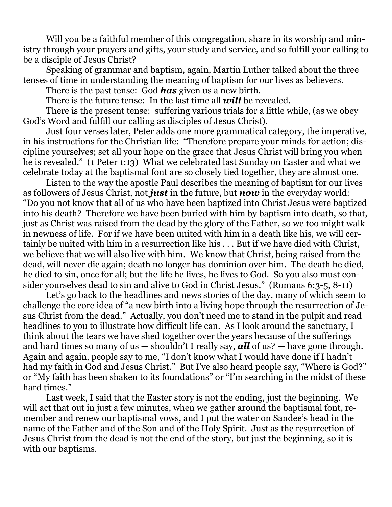Will you be a faithful member of this congregation, share in its worship and ministry through your prayers and gifts, your study and service, and so fulfill your calling to be a disciple of Jesus Christ?

 Speaking of grammar and baptism, again, Martin Luther talked about the three tenses of time in understanding the meaning of baptism for our lives as believers.

There is the past tense: God *has* given us a new birth.

There is the future tense: In the last time all *will* be revealed.

 There is the present tense: suffering various trials for a little while, (as we obey God's Word and fulfill our calling as disciples of Jesus Christ).

 Just four verses later, Peter adds one more grammatical category, the imperative, in his instructions for the Christian life: "Therefore prepare your minds for action; discipline yourselves; set all your hope on the grace that Jesus Christ will bring you when he is revealed." (1 Peter 1:13) What we celebrated last Sunday on Easter and what we celebrate today at the baptismal font are so closely tied together, they are almost one.

 Listen to the way the apostle Paul describes the meaning of baptism for our lives as followers of Jesus Christ, not *just* in the future, but *now* in the everyday world: "Do you not know that all of us who have been baptized into Christ Jesus were baptized into his death? Therefore we have been buried with him by baptism into death, so that, just as Christ was raised from the dead by the glory of the Father, so we too might walk in newness of life. For if we have been united with him in a death like his, we will certainly be united with him in a resurrection like his . . . But if we have died with Christ, we believe that we will also live with him. We know that Christ, being raised from the dead, will never die again; death no longer has dominion over him. The death he died, he died to sin, once for all; but the life he lives, he lives to God. So you also must consider yourselves dead to sin and alive to God in Christ Jesus." (Romans 6:3-5, 8-11)

 Let's go back to the headlines and news stories of the day, many of which seem to challenge the core idea of "a new birth into a living hope through the resurrection of Jesus Christ from the dead." Actually, you don't need me to stand in the pulpit and read headlines to you to illustrate how difficult life can. As I look around the sanctuary, I think about the tears we have shed together over the years because of the sufferings and hard times so many of us — shouldn't I really say, *all* of us? — have gone through. Again and again, people say to me, "I don't know what I would have done if I hadn't had my faith in God and Jesus Christ." But I've also heard people say, "Where is God?" or "My faith has been shaken to its foundations" or "I'm searching in the midst of these hard times."

 Last week, I said that the Easter story is not the ending, just the beginning. We will act that out in just a few minutes, when we gather around the baptismal font, remember and renew our baptismal vows, and I put the water on Sandee's head in the name of the Father and of the Son and of the Holy Spirit. Just as the resurrection of Jesus Christ from the dead is not the end of the story, but just the beginning, so it is with our baptisms.